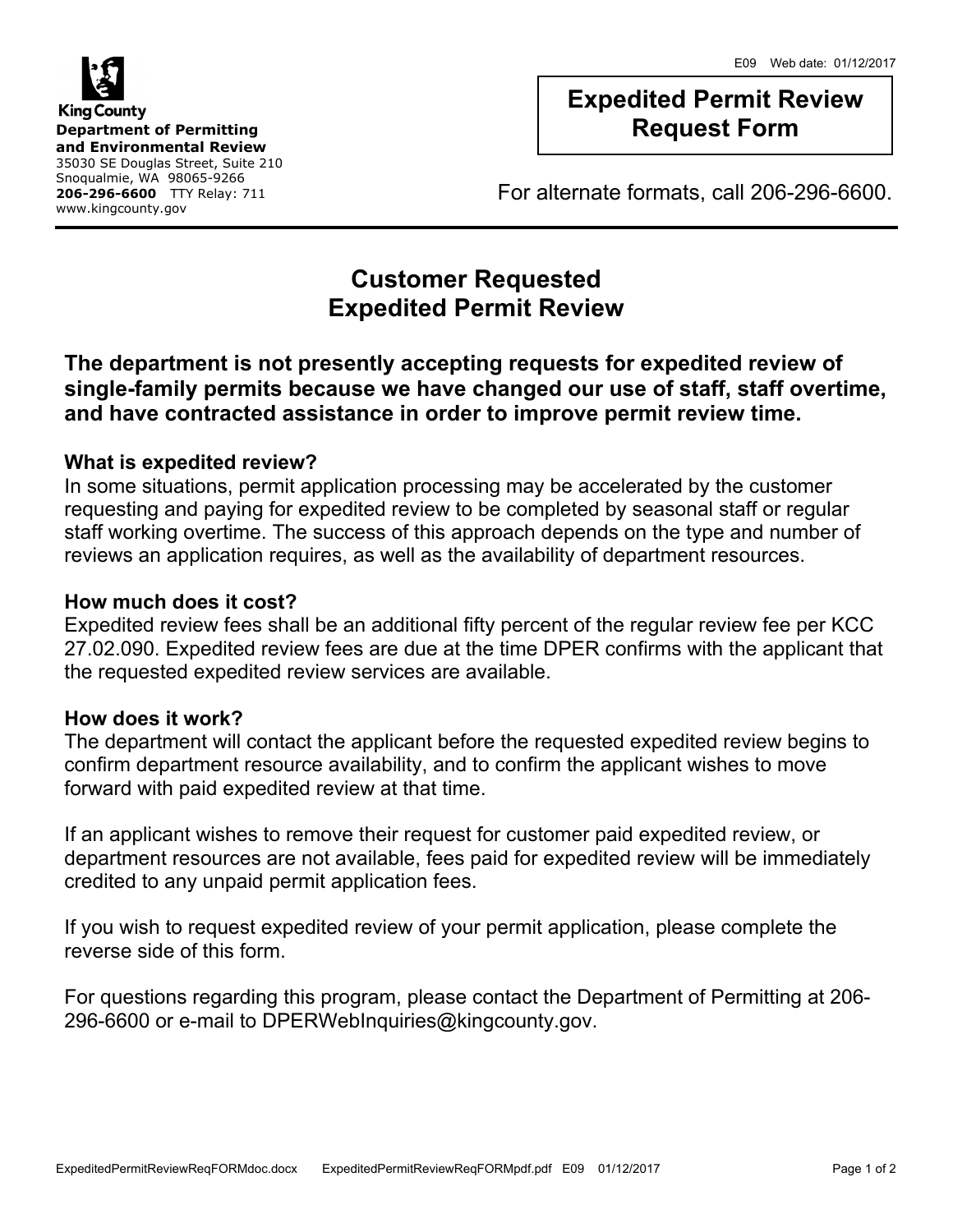

# **Expedited Permit Review Request Form**

For alternate formats, call 206-296-6600.

# **Customer Requested Expedited Permit Review**

### **The department is not presently accepting requests for expedited review of single-family permits because we have changed our use of staff, staff overtime, and have contracted assistance in order to improve permit review time.**

### **What is expedited review?**

In some situations, permit application processing may be accelerated by the customer requesting and paying for expedited review to be completed by seasonal staff or regular staff working overtime. The success of this approach depends on the type and number of reviews an application requires, as well as the availability of department resources.

### **How much does it cost?**

Expedited review fees shall be an additional fifty percent of the regular review fee per KCC 27.02.090. Expedited review fees are due at the time DPER confirms with the applicant that the requested expedited review services are available.

### **How does it work?**

The department will contact the applicant before the requested expedited review begins to confirm department resource availability, and to confirm the applicant wishes to move forward with paid expedited review at that time.

If an applicant wishes to remove their request for customer paid expedited review, or department resources are not available, fees paid for expedited review will be immediately credited to any unpaid permit application fees.

If you wish to request expedited review of your permit application, please complete the reverse side of this form.

For questions regarding this program, please contact the Department of Permitting at 206- 296-6600 or e-mail to DPERWebInquiries@kingcounty.gov.